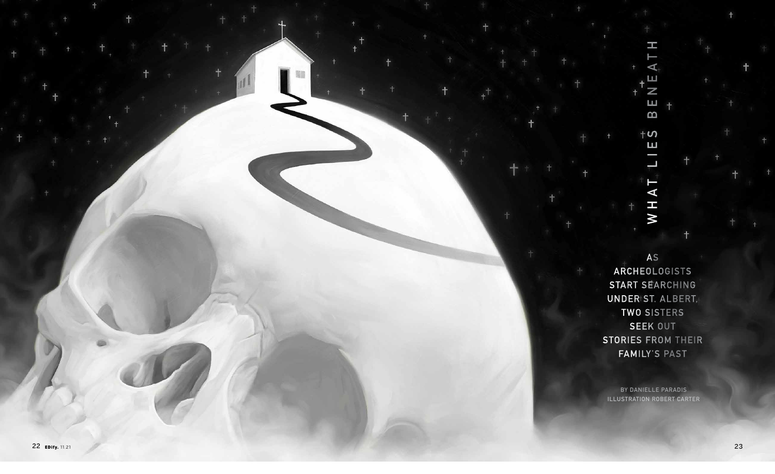

 $\overline{Z}$  $\qquad \qquad \Box$  $\mathbf{m}$  $\dagger$ ဟ  $\sqcup$  $\overline{\phantom{0}}$ E  $\blacktriangleleft$ 

H

 $\blacktriangleleft$ 

AS

H M

ARCHEOLOGISTS START SEARCHING **UNDER ST. ALBERT,** TWO SISTERS SEEK OUT **STORIES FROM THEIR FAMILY'S PAST** 

**BY DANIELLE PARADIS ILLUSTRATION ROBERT CARTER**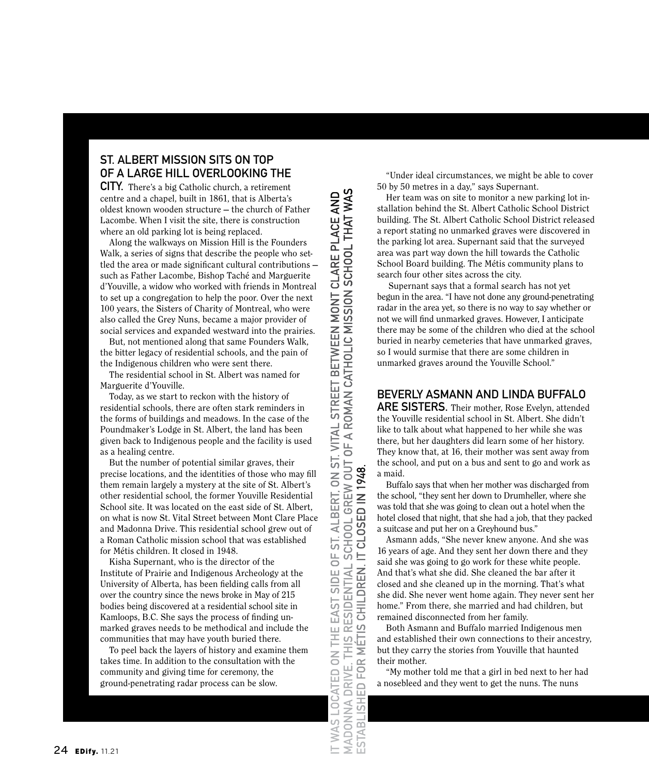## **ST. ALBERT MISSION SITS ON TOP OF A LARGE HILL OVERLOOKING THE**

**CITY.** There's a big Catholic church, a retirement centre and a chapel, built in 1861, that is Alberta's oldest known wooden structure — the church of Father Lacombe. When I visit the site, there is construction where an old parking lot is being replaced.

Along the walkways on Mission Hill is the Founders Walk, a series of signs that describe the people who settled the area or made significant cultural contributions such as Father Lacombe, Bishop Taché and Marguerite d'Youville, a widow who worked with friends in Montreal to set up a congregation to help the poor. Over the next 100 years, the Sisters of Charity of Montreal, who were also called the Grey Nuns, became a major provider of social services and expanded westward into the prairies.

But, not mentioned along that same Founders Walk, the bitter legacy of residential schools, and the pain of the Indigenous children who were sent there.

The residential school in St. Albert was named for Marguerite d'Youville.

Today, as we start to reckon with the history of residential schools, there are often stark reminders in the forms of buildings and meadows. In the case of the Poundmaker's Lodge in St. Albert, the land has been given back to Indigenous people and the facility is used as a healing centre.

But the number of potential similar graves, their precise locations, and the identities of those who may fill them remain largely a mystery at the site of St. Albert's other residential school, the former Youville Residential School site. It was located on the east side of St. Albert, on what is now St. Vital Street between Mont Clare Place and Madonna Drive. This residential school grew out of a Roman Catholic mission school that was established for Métis children. It closed in 1948.

Kisha Supernant, who is the director of the Institute of Prairie and Indigenous Archeology at the University of Alberta, has been fielding calls from all over the country since the news broke in May of 215 bodies being discovered at a residential school site in Kamloops, B.C. She says the process of finding unmarked graves needs to be methodical and include the communities that may have youth buried there.

To peel back the layers of history and examine them takes time. In addition to the consultation with the community and giving time for ceremony, the ground-penetrating radar process can be slow.

IT WAS LOCATED ON THE EAST SIDE OF ST. ALBERT, ON ST. VITAL STREET BETWEEN MONT CLARE PLACE AND<br>MADONNA DRIVE. THIS RESIDENTIAL SCHOOL GREW OUT OF A ROMAN CATHOLIC MISSION SCHOOL THAT WAS<br>ESTABLISHED FOR MÉTIS CHILDREN. IT

"Under ideal circumstances, we might be able to cover 50 by 50 metres in a day," says Supernant.

Her team was on site to monitor a new parking lot installation behind the St. Albert Catholic School District building. The St. Albert Catholic School District released a report stating no unmarked graves were discovered in the parking lot area. Supernant said that the surveyed area was part way down the hill towards the Catholic School Board building. The Métis community plans to search four other sites across the city.

 Supernant says that a formal search has not yet begun in the area. "I have not done any ground-penetrating radar in the area yet, so there is no way to say whether or not we will find unmarked graves. However, I anticipate there may be some of the children who died at the school buried in nearby cemeteries that have unmarked graves, so I would surmise that there are some children in unmarked graves around the Youville School."

## **BEVERLY ASMANN AND LINDA BUFFALO**

**ARE SISTERS.** Their mother, Rose Evelyn, attended the Youville residential school in St. Albert. She didn't like to talk about what happened to her while she was there, but her daughters did learn some of her history. They know that, at 16, their mother was sent away from the school, and put on a bus and sent to go and work as a maid.

Buffalo says that when her mother was discharged from the school, "they sent her down to Drumheller, where she was told that she was going to clean out a hotel when the hotel closed that night, that she had a job, that they packed a suitcase and put her on a Greyhound bus."

Asmann adds, "She never knew anyone. And she was 16 years of age. And they sent her down there and they said she was going to go work for these white people. And that's what she did. She cleaned the bar after it closed and she cleaned up in the morning. That's what she did. She never went home again. They never sent her home." From there, she married and had children, but remained disconnected from her family.

Both Asmann and Buffalo married Indigenous men and established their own connections to their ancestry, but they carry the stories from Youville that haunted their mother.

"My mother told me that a girl in bed next to her had a nosebleed and they went to get the nuns. The nuns